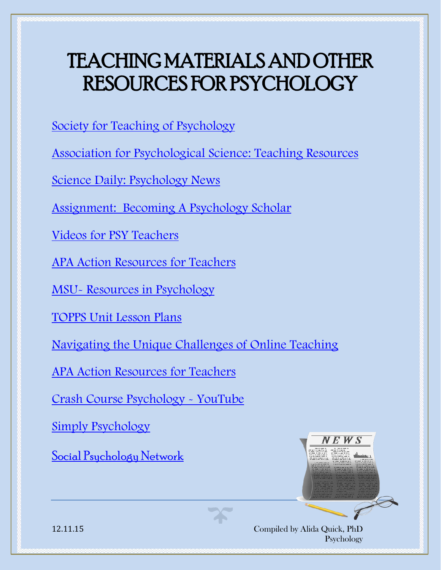[Society for Teaching of Psychology](http://teachpsych.org/page-1603066)

[Association for Psychological Science: Teaching Resources](http://www.psychologicalscience.org/index.php/members/teaching)

[Science Daily: Psychology News](http://www.sciencedaily.com/news/mind_brain/psychology/)

[Assignment: Becoming A Psychology Scholar](http://www.oercommons.org/courses/becoming-a-psychology-scholar/view)

[Videos for PSY Teachers](http://www.apa.org/ed/precollege/topss/videos-teachers.aspx)

[APA Action Resources for Teachers](http://www.apa.org/action/resources/teachers/)

MSU- [Resources in Psychology](http://fod.msu.edu/oir/psychology)

[TOPPS Unit Lesson Plans](http://www.apa.org/ed/precollege/topss/lessons/index.aspx)

[Navigating the Unique Challenges of Online Teaching](http://www.apa.org/ed/precollege/undergrad/ptacc/online-teaching.aspx)

[APA Action Resources for Teachers](http://www.apa.org/action/resources/teachers/)

[Crash Course Psychology -](https://www.youtube.com/watch?v=vo4pMVb0R6M) YouTube

[Simply Psychology](http://www.simplypsychology.org/) 

[Social Psychology Network](http://www.socialpsychology.org/teaching.htm)





12.11.15 Compiled by Alida Quick, PhD Psychology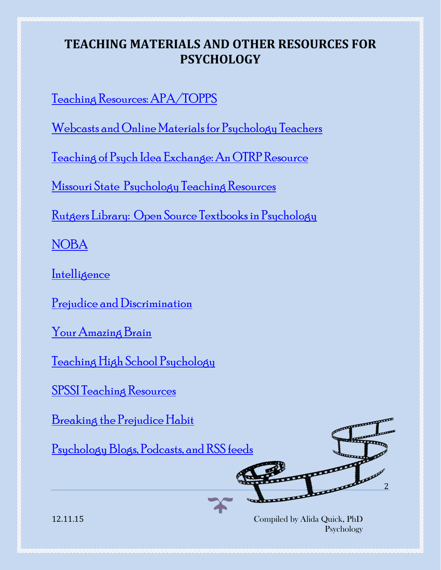[Teaching Resources: APA/TOPPS](http://www.apa.org/ed/precollege/topss/resources.aspx)

[Webcasts and Online Materials for Psychology Teachers](http://www.apa.org/ed/precollege/topss/webcasts-modules.aspx)

[Teaching of Psych Idea Exchange: An OTRP Resource](http://topix.teachpsych.org/w/page/19980993/FrontPage)

[Missouri State Psychology Teaching Resources](http://psychology.missouristate.edu/webresources.htm)

[Rutgers Library: Open Source Textbooks in Psychology](http://libguides.rutgers.edu/c.php?g=336435&p=2265847)

[NOBA](http://nobaproject.com/)

[Intelligence](http://nobaproject.com/textbooks/discover-psychology-a-brief-introductory-text/modules/intelligence)

[Prejudice and Discrimination](http://nobaproject.com/textbooks/discover-psychology-a-brief-introductory-text/modules/prejudice-discrimination-and-stereotyping)

[Your Amazing Brain](http://youramazingbrain.org/teachers/default.htm)

[Teaching High School Psychology](http://teachinghighschoolpsychology.blogspot.com/#sthash.11P2q0ix.dpbs)

[SPSSI Teaching Resources](https://www.spssi.org/index.cfm?fuseaction=Page.viewPage&pageId=647)

[Breaking the Prejudice Habit](http://breakingprejudice.org/)

[Psychology Blogs, Podcasts, and RSS feeds](https://www.socialpsychology.org/blogs.htm)



12.11.15 Compiled by Alida Quick, PhD Psychology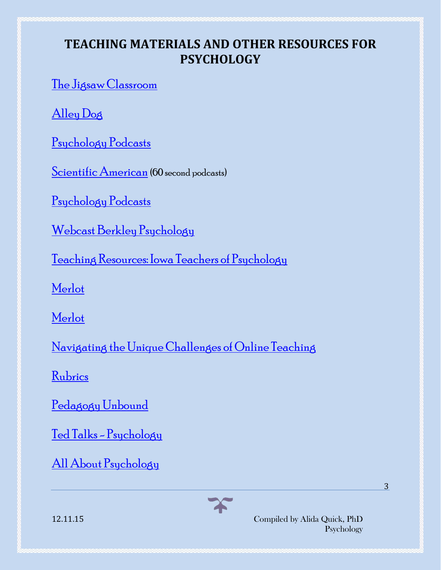[The Jigsaw Classroom](https://www.jigsaw.org/)

[Alley Dog](http://toppsych.alleydog.com/)

[Psychology Podcasts](http://www.apa.org/monitor/2012/01/podcasts.aspx)

[Scientific American](http://www.scientificamerican.com/multimedia/) (60 second podcasts)

[Psychology Podcasts](https://player.fm/featured/psychology)

[Webcast Berkley Psychology](http://webcast.berkeley.edu/series.html#c,d,Psychology)

[Teaching Resources: Iowa Teachers of Psychology](http://www.uni.edu/walsh/teachresources.html)

[Merlot](https://www.merlot.org/merlot/index.htm)

[Merlot](https://www.merlot.org/merlot/materials.htm?keywords=psychology&scope=1&discipline=%255BCOMMONS%255D&search.x=11&search.y=8)

[Navigating the Unique Challenges of Online Teaching](http://www.apa.org/ed/precollege/undergrad/ptacc/online-teaching.aspx)

[Rubrics](http://course1.winona.edu/shatfield/air/rubrics.htm)

[Pedagogy Unbound](http://www.pedagogyunbound.com/)

Ted Talks - [Psychology](https://www.ted.com/topics/psychology)

[All About Psychology](http://www.all-about-psychology.com/psychology-podcasts.html)



12.11.15 Compiled by Alida Quick, PhD Psychology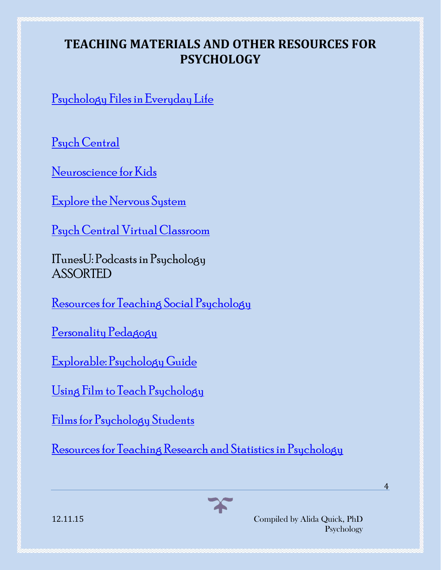[Psychology Files in Everyday Life](https://player.fm/series/3000)

[Psych Central](http://psychcentral.com/resources/)

[Neuroscience for Kids](http://faculty.washington.edu/chudler/neurok.html)

[Explore the Nervous System](https://faculty.washington.edu/chudler/introb.html)

[Psych Central Virtual Classroom](http://allpsych.com/psychology101)

ITunesU: Podcasts in Psychology ASSORTED

[Resources for Teaching Social Psychology](http://jfmueller.faculty.noctrl.edu/crow/)

[Personality Pedagogy](http://personalitypedagogy.arcadia.edu/pmwiki/pmwiki.php?n=Content.AssignmentsExercisesAndActivities)

[Explorable: Psychology Guide](https://explorable.com/psychology)

[Using Film to Teach Psychology](http://teachpsych.org/resources/Documents/otrp/resources/nelson06.pdf)

[Films for Psychology Students](http://blog.online.saintleo.edu/degree-programs/18-Must-See-Films-For-Psychology-Students)

[Resources for Teaching Research and Statistics in Psychology](http://teachpsychscience.org/)



12.11.15 Compiled by Alida Quick, PhD Psychology 4